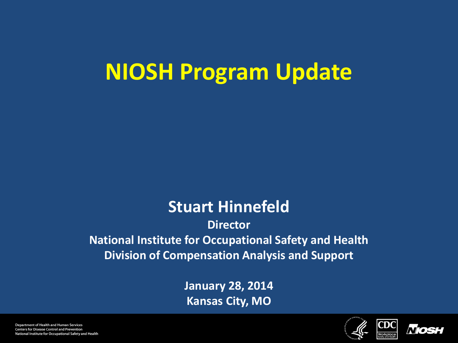### **NIOSH Program Update**

#### **Stuart Hinnefeld**

**Director National Institute for Occupational Safety and Health Division of Compensation Analysis and Support**

> **January 28, 2014 Kansas City, MO**



CDC

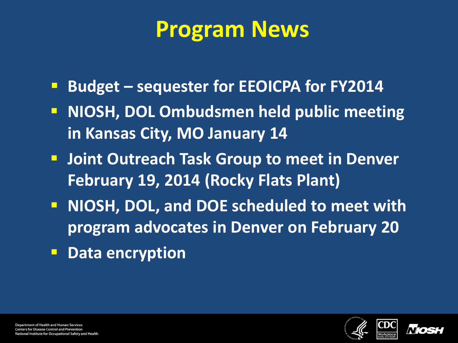#### **Program News**

- **Budget sequester for EEOICPA for FY2014**
- **NIOSH, DOL Ombudsmen held public meeting in Kansas City, MO January 14**
- **F** Joint Outreach Task Group to meet in Denver **February 19, 2014 (Rocky Flats Plant)**
- **NIOSH, DOL, and DOE scheduled to meet with program advocates in Denver on February 20**
- **P** Data encryption



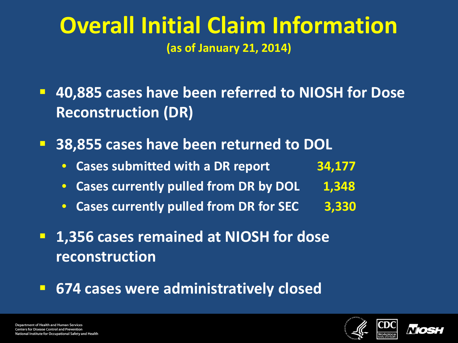#### **Overall Initial Claim Information (as of January 21, 2014)**

- **40,885 cases have been referred to NIOSH for Dose Reconstruction (DR)**
- **38,855 cases have been returned to DOL**
	- **Cases submitted with a DR report 34,177**
	- Cases currently pulled from DR by DOL 1,348
	- **Cases currently pulled from DR for SEC 3,330**
- **1,356 cases remained at NIOSH for dose reconstruction**
- **674 cases were administratively closed**



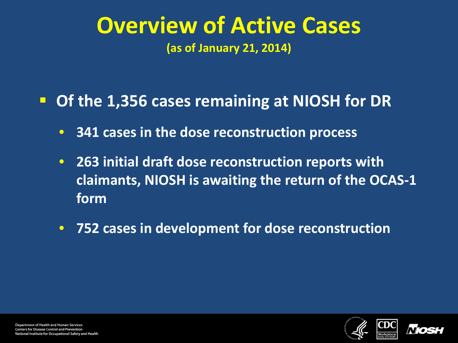# **Overview of Active Cases**

**(as of January 21, 2014)**

#### **Of the 1,356 cases remaining at NIOSH for DR**

- **341 cases in the dose reconstruction process**
- **263 initial draft dose reconstruction reports with claimants, NIOSH is awaiting the return of the OCAS-1 form**
- **752 cases in development for dose reconstruction**



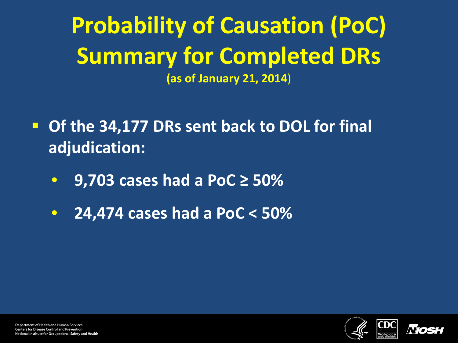**Probability of Causation (PoC) Summary for Completed DRs (as of January 21, 2014**)

- **Of the 34,177 DRs sent back to DOL for final adjudication:**
	- **9,703 cases had a PoC ≥ 50%**
	- **24,474 cases had a PoC < 50%**



**Department of Health and Human Services Centers for Disease Control and Prevention** National Institute for Occupational Safety and Health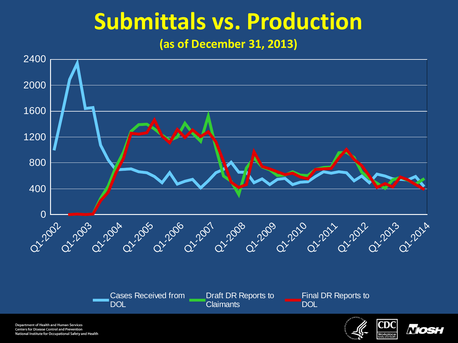### **Submittals vs. Production**

**(as of December 31, 2013)**



**Department of Health and Human Services Centers for Disease Control and Prevention** National Institute for Occupational Safety and Health



*Nios*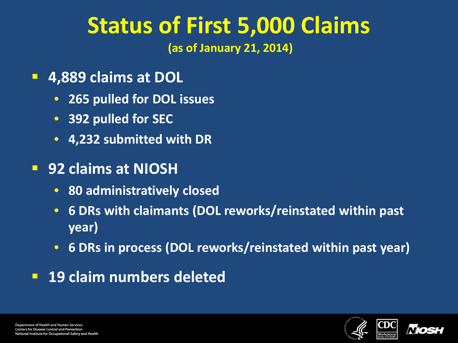### **Status of First 5,000 Claims**

**(as of January 21, 2014)** 

- **4,889 claims at DOL**
	- **265 pulled for DOL issues**
	- **392 pulled for SEC**
	- **4,232 submitted with DR**

#### **92 claims at NIOSH**

- **80 administratively closed**
- **6 DRs with claimants (DOL reworks/reinstated within past year)**
- **6 DRs in process (DOL reworks/reinstated within past year)**
- **19 claim numbers deleted**



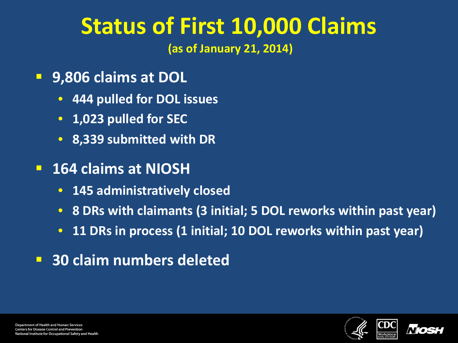## **Status of First 10,000 Claims**

**(as of January 21, 2014)** 

- **9,806 claims at DOL**
	- **444 pulled for DOL issues**
	- **1,023 pulled for SEC**
	- **8,339 submitted with DR**
- **164 claims at NIOSH**
	- **145 administratively closed**
	- **8 DRs with claimants (3 initial; 5 DOL reworks within past year)**
	- **11 DRs in process (1 initial; 10 DOL reworks within past year)**
- **30 claim numbers deleted**



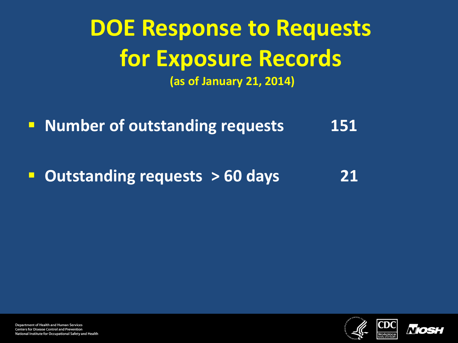# **DOE Response to Requests for Exposure Records**

**(as of January 21, 2014)** 

**Number of outstanding requests 151** 

**Dutstanding requests > 60 days** 21



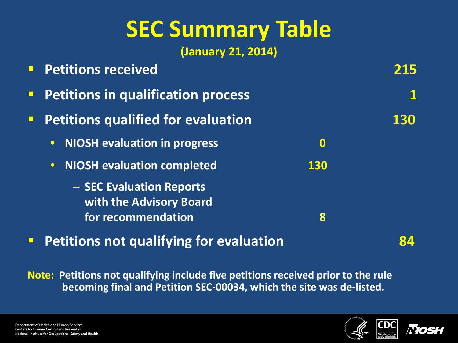## **SEC Summary Table**

**(January 21, 2014)**

|        | <b>Petitions received</b>                           |                  |     |
|--------|-----------------------------------------------------|------------------|-----|
| $\Box$ | <b>Petitions in qualification process</b>           |                  |     |
| $\Box$ | <b>Petitions qualified for evaluation</b>           |                  | 130 |
|        | <b>NIOSH evaluation in progress</b><br>$\bullet$    | $\boldsymbol{0}$ |     |
|        | <b>NIOSH evaluation completed</b><br>$\bullet$      | <b>130</b>       |     |
|        | - SEC Evaluation Reports<br>with the Advisory Board |                  |     |
|        | for recommendation                                  | 8                |     |
|        |                                                     |                  |     |

**Petitions not qualifying for evaluation 84** 

**Note: Petitions not qualifying include five petitions received prior to the rule becoming final and Petition SEC-00034, which the site was de-listed.**